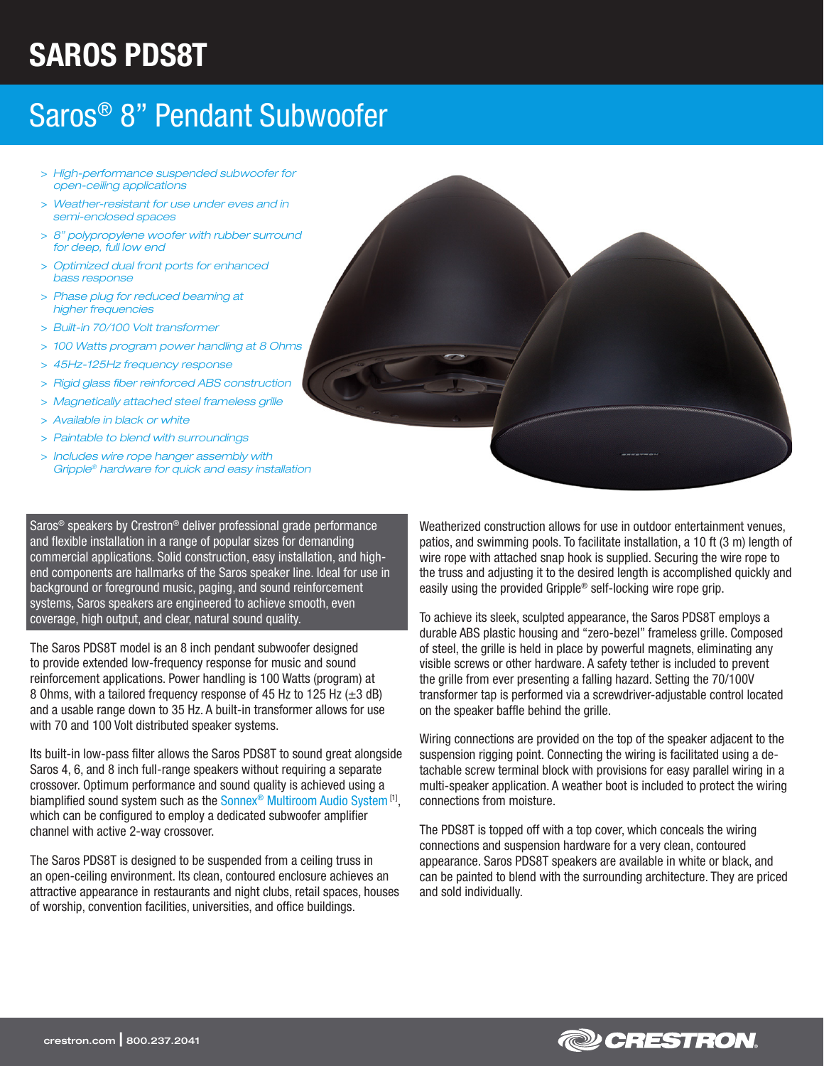# SAROS PDS8T

## Saros® 8" Pendant Subwoofer

- > *High-performance suspended subwoofer for open-ceiling applications*
- > *Weather-resistant for use under eves and in semi-enclosed spaces*
- > *8" polypropylene woofer with rubber surround for deep, full low end*
- > *Optimized dual front ports for enhanced bass response*
- > *Phase plug for reduced beaming at higher frequencies*
- > *Built-in 70/100 Volt transformer*
- > *100 Watts program power handling at 8 Ohms*
- > *45Hz-125Hz frequency response*
- > *Rigid glass fiber reinforced ABS construction*
- > *Magnetically attached steel frameless grille*
- > *Available in black or white*
- > *Paintable to blend with surroundings*
- > *Includes wire rope hanger assembly with Gripple® hardware for quick and easy installation*

Saros® speakers by Crestron® deliver professional grade performance and flexible installation in a range of popular sizes for demanding commercial applications. Solid construction, easy installation, and highend components are hallmarks of the Saros speaker line. Ideal for use in background or foreground music, paging, and sound reinforcement systems, Saros speakers are engineered to achieve smooth, even coverage, high output, and clear, natural sound quality.

The Saros PDS8T model is an 8 inch pendant subwoofer designed to provide extended low-frequency response for music and sound reinforcement applications. Power handling is 100 Watts (program) at 8 Ohms, with a tailored frequency response of 45 Hz to 125 Hz  $(\pm 3$  dB) and a usable range down to 35 Hz. A built-in transformer allows for use with 70 and 100 Volt distributed speaker systems.

Its built-in low-pass filter allows the Saros PDS8T to sound great alongside Saros 4, 6, and 8 inch full-range speakers without requiring a separate crossover. Optimum performance and sound quality is achieved using a biamplified sound system such as the Sonnex<sup>®</sup> Multiroom Audio System<sup>[1]</sup>, which can be configured to employ a dedicated subwoofer amplifier channel with active 2-way crossover.

The Saros PDS8T is designed to be suspended from a ceiling truss in an open-ceiling environment. Its clean, contoured enclosure achieves an attractive appearance in restaurants and night clubs, retail spaces, houses of worship, convention facilities, universities, and office buildings.

Weatherized construction allows for use in outdoor entertainment venues, patios, and swimming pools. To facilitate installation, a 10 ft (3 m) length of wire rope with attached snap hook is supplied. Securing the wire rope to the truss and adjusting it to the desired length is accomplished quickly and easily using the provided Gripple® self-locking wire rope grip.

To achieve its sleek, sculpted appearance, the Saros PDS8T employs a durable ABS plastic housing and "zero-bezel" frameless grille. Composed of steel, the grille is held in place by powerful magnets, eliminating any visible screws or other hardware. A safety tether is included to prevent the grille from ever presenting a falling hazard. Setting the 70/100V transformer tap is performed via a screwdriver-adjustable control located on the speaker baffle behind the grille.

Wiring connections are provided on the top of the speaker adjacent to the suspension rigging point. Connecting the wiring is facilitated using a detachable screw terminal block with provisions for easy parallel wiring in a multi-speaker application. A weather boot is included to protect the wiring connections from moisture.

The PDS8T is topped off with a top cover, which conceals the wiring connections and suspension hardware for a very clean, contoured appearance. Saros PDS8T speakers are available in white or black, and can be painted to blend with the surrounding architecture. They are priced and sold individually.

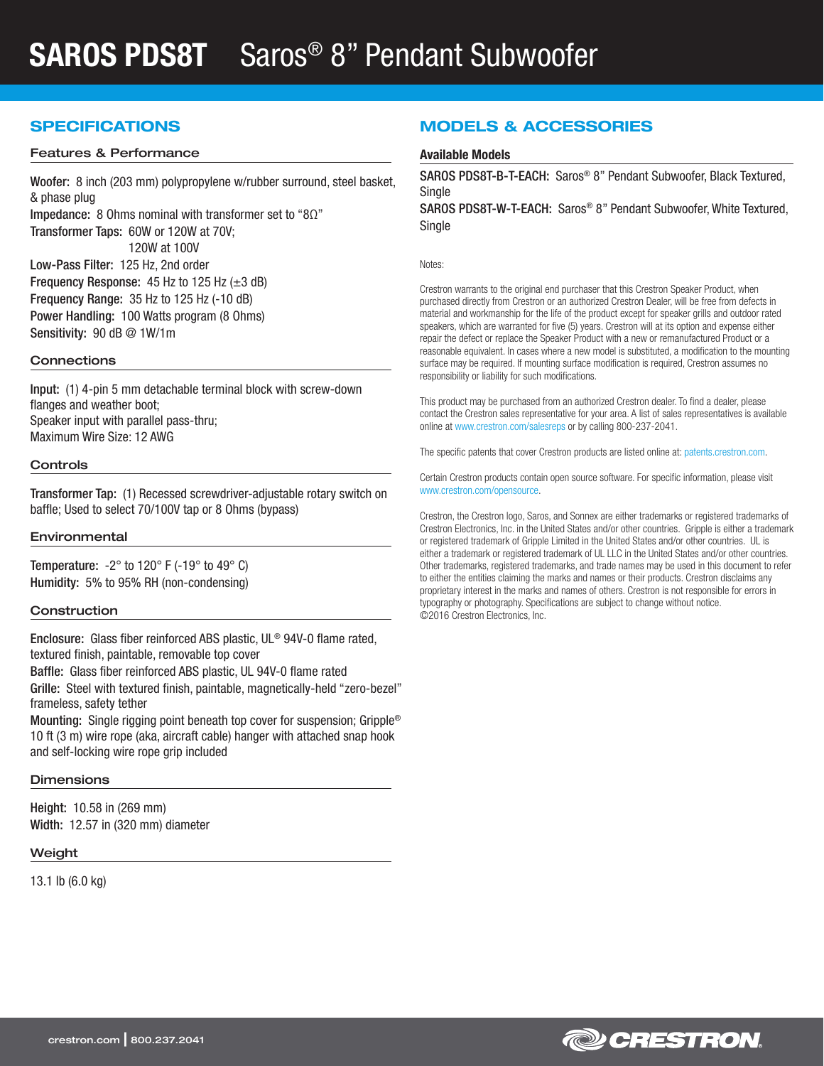### SPECIFICATIONS

#### Features & Performance

Woofer: 8 inch (203 mm) polypropylene w/rubber surround, steel basket, & phase plug Impedance: 8 Ohms nominal with transformer set to "8Ω" Transformer Taps: 60W or 120W at 70V; 120W at 100V Low-Pass Filter: 125 Hz, 2nd order Frequency Response:  $45$  Hz to 125 Hz ( $\pm 3$  dB) Frequency Range: 35 Hz to 125 Hz (-10 dB) Power Handling: 100 Watts program (8 Ohms) Sensitivity: 90 dB @ 1W/1m

#### **Connections**

Input: (1) 4-pin 5 mm detachable terminal block with screw-down flanges and weather boot; Speaker input with parallel pass-thru; Maximum Wire Size: 12 AWG

#### **Controls**

Transformer Tap: (1) Recessed screwdriver-adjustable rotary switch on baffle; Used to select 70/100V tap or 8 Ohms (bypass)

#### Environmental

Temperature:  $-2^\circ$  to 120° F ( $-19^\circ$  to 49° C) Humidity: 5% to 95% RH (non-condensing)

#### **Construction**

Enclosure: Glass fiber reinforced ABS plastic, UL® 94V-0 flame rated, textured finish, paintable, removable top cover

Baffle: Glass fiber reinforced ABS plastic, UL 94V-0 flame rated

Grille: Steel with textured finish, paintable, magnetically-held "zero-bezel" frameless, safety tether

Mounting: Single rigging point beneath top cover for suspension; Gripple® 10 ft (3 m) wire rope (aka, aircraft cable) hanger with attached snap hook and self-locking wire rope grip included

#### **Dimensions**

Height: 10.58 in (269 mm) Width: 12.57 in (320 mm) diameter

#### Weight

13.1 lb (6.0 kg)

### MODELS & ACCESSORIES

#### Available Models

SAROS PDS8T-B-T-EACH: Saros® 8" Pendant Subwoofer, Black Textured, **Single** 

SAROS PDS8T-W-T-EACH: Saros® 8" Pendant Subwoofer, White Textured, Single

Notes:

Crestron warrants to the original end purchaser that this Crestron Speaker Product, when purchased directly from Crestron or an authorized Crestron Dealer, will be free from defects in material and workmanship for the life of the product except for speaker grills and outdoor rated speakers, which are warranted for five (5) years. Crestron will at its option and expense either repair the defect or replace the Speaker Product with a new or remanufactured Product or a reasonable equivalent. In cases where a new model is substituted, a modification to the mounting surface may be required. If mounting surface modification is required, Crestron assumes no responsibility or liability for such modifications.

This product may be purchased from an authorized Crestron dealer. To find a dealer, please contact the Crestron sales representative for your area. A list of sales representatives is available online at [www.crestron.com/salesreps](http://www.crestron.com/salesreps) or by calling 800-237-2041.

The specific patents that cover Crestron products are listed online at: [patents.crestron.com.](http://patents.crestron.com)

Certain Crestron products contain open source software. For specific information, please visit www.crestron.com/opensource.

Crestron, the Crestron logo, Saros, and Sonnex are either trademarks or registered trademarks of Crestron Electronics, Inc. in the United States and/or other countries. Gripple is either a trademark or registered trademark of Gripple Limited in the United States and/or other countries. UL is either a trademark or registered trademark of UL LLC in the United States and/or other countries. Other trademarks, registered trademarks, and trade names may be used in this document to refer to either the entities claiming the marks and names or their products. Crestron disclaims any proprietary interest in the marks and names of others. Crestron is not responsible for errors in typography or photography. Specifications are subject to change without notice. ©2016 Crestron Electronics, Inc.